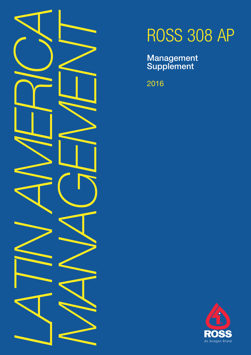

# ROSS 308 AP

Management **Supplement** 

2016

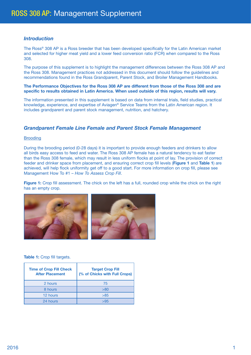## *Introduction*

The Ross® 308 AP is a Ross breeder that has been developed specifically for the Latin American market and selected for higher meat yield and a lower feed conversion ratio (FCR) when compared to the Ross 308.

The purpose of this supplement is to highlight the management differences between the Ross 308 AP and the Ross 308. Management practices not addressed in this document should follow the guidelines and recommendations found in the Ross Grandparent, Parent Stock, and Broiler Management Handbooks.

#### **The Performance Objectives for the Ross 308 AP are different from those of the Ross 308 and are specific to results obtained in Latin America. When used outside of this region, results will vary.**

The information presented in this supplement is based on data from internal trials, field studies, practical knowledge, experience, and expertise of Aviagen® Service Teams from the Latin American region. It includes grandparent and parent stock management, nutrition, and hatchery.

## *Grandparent Female Line Female and Parent Stock Female Management*

### Brooding

During the brooding period (0-28 days) it is important to provide enough feeders and drinkers to allow all birds easy access to feed and water. The Ross 308 AP female has a natural tendency to eat faster than the Ross 308 female, which may result in less uniform flocks at point of lay. The provision of correct feeder and drinker space from placement, and ensuring correct crop fill levels (**Figure 1** and **Table 1**) are achieved, will help flock uniformity get off to a good start. For more information on crop fill, please see Management How To #1 – *How To Assess Crop Fill*.

**Figure 1:** Crop fill assessment. The chick on the left has a full, rounded crop while the chick on the right has an empty crop.



#### **Table 1:** Crop fill targets.

| <b>Time of Crop Fill Check</b><br><b>After Placement</b> | <b>Target Crop Fill</b><br>(% of Chicks with Full Crops) |
|----------------------------------------------------------|----------------------------------------------------------|
| 2 hours                                                  | 75                                                       |
| 8 hours                                                  | >80                                                      |
| 12 hours                                                 | >85                                                      |
| 24 hours                                                 | 595                                                      |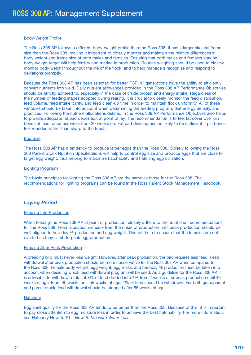#### Body-Weight Profile

The Ross 308 AP follows a different body-weight profile than the Ross 308. It has a larger skeletal frame size than the Ross 308, making it important to closely monitor and maintain the relative differences in body weight and frame size of both males and females. Ensuring that both males and females stay on body-weight target will help fertility and mating in production. Routine weighing should be used to closely monitor body weight throughout the life of the flock and to help managers recognize and respond to deviations promptly.

Because the Ross 308 AP has been selected for better FCR, all generations have the ability to efficiently convert nutrients into yield. Daily nutrient allowances provided in the Ross 308 AP Performance Objectives should be strictly adhered to, especially in the case of crude protein and energy intake. Regardless of the number of feeding stages adopted during rearing, it is crucial to closely monitor the feed distribution, feed volume, feed intake parity, and feed clean-up time in order to maintain flock uniformity. All of these variables should be taken into account when determining the feeding program, diet energy density, and practices. Following the nutrient allocations defined in the Ross 308 AP Performance Objectives also helps to provide adequate fat pad deposition at point of lay. The recommendation is to feel fat cover over pin bones at least once per week from 20 weeks on. Fat pad development is likely to be sufficient if pin bones feel rounded rather than sharp to the touch.

#### Egg Size

The Ross 308 AP has a tendency to produce larger eggs than the Ross 308. Closely following the Ross 308 Parent Stock Nutrition Specifications will help to control egg size and produce eggs that are close to target egg weight, thus helping to maximize hatchability and hatching egg utilization.

#### Lighting Programs

The basic principles for lighting the Ross 308 AP are the same as those for the Ross 308. The recommendations for lighting programs can be found in the Ross Parent Stock Management Handbook.

## *Laying Period*

#### Feeding Into Production

When feeding the Ross 308 AP at point of production, closely adhere to the nutritional recommendations for the Ross 308. Feed allocation increase from the onset of production until peak production should be well-aligned to hen-day % production and egg weight. This will help to ensure that the females are not overfed as they climb to peak egg production.

#### Feeding After Peak Production

A breeding bird must never lose weight. However, after peak production, the bird requires less feed. Feed withdrawal after peak production should be more conservative for the Ross 308 AP when compared to the Ross 308. Female body weight, egg weight, egg mass, and hen-day % production must be taken into account when deciding which feed withdrawal program will be used. As a guideline for the Ross 308 AP, it is advisable to withdraw a total of 8% of feed divided into 4% from 2 weeks after peak production until 40 weeks of age. From 40 weeks until 55 weeks of age, 4% of feed should be withdrawn. For both grandparent and parent stock, feed withdrawal should be stopped after 55 weeks of age.

#### **Hatchery**

Egg shell quality for the Ross 308 AP tends to be better than the Ross 308. Because of this, it is important to pay close attention to egg moisture loss in order to achieve the best hatchability. For more information, see Hatchery How To #1 – *How To Measure Water Loss*.